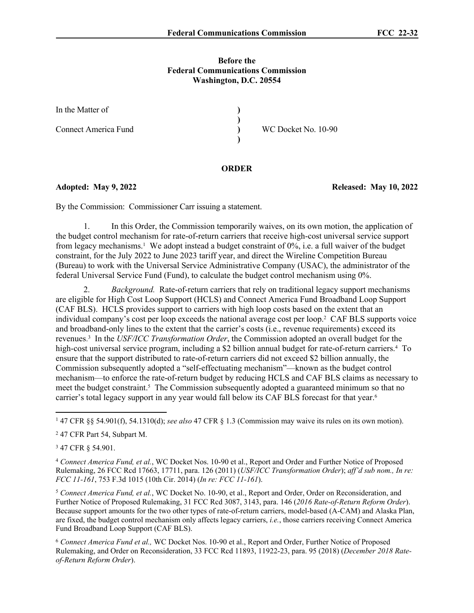### **Before the Federal Communications Commission Washington, D.C. 20554**

| In the Matter of     |                     |
|----------------------|---------------------|
| Connect America Fund | WC Docket No. 10-90 |

# **ORDER**

By the Commission: Commissioner Carr issuing a statement.

1. In this Order, the Commission temporarily waives, on its own motion, the application of the budget control mechanism for rate-of-return carriers that receive high-cost universal service support from legacy mechanisms.<sup>1</sup> We adopt instead a budget constraint of 0%, i.e. a full waiver of the budget constraint, for the July 2022 to June 2023 tariff year, and direct the Wireline Competition Bureau (Bureau) to work with the Universal Service Administrative Company (USAC), the administrator of the federal Universal Service Fund (Fund), to calculate the budget control mechanism using 0%.

2. *Background.* Rate-of-return carriers that rely on traditional legacy support mechanisms are eligible for High Cost Loop Support (HCLS) and Connect America Fund Broadband Loop Support (CAF BLS). HCLS provides support to carriers with high loop costs based on the extent that an individual company's cost per loop exceeds the national average cost per loop.<sup>2</sup> CAF BLS supports voice and broadband-only lines to the extent that the carrier's costs (i.e., revenue requirements) exceed its revenues. 3 In the *USF/ICC Transformation Order*, the Commission adopted an overall budget for the high-cost universal service program, including a \$2 billion annual budget for rate-of-return carriers.<sup>4</sup> To ensure that the support distributed to rate-of-return carriers did not exceed \$2 billion annually, the Commission subsequently adopted a "self-effectuating mechanism"—known as the budget control mechanism—to enforce the rate-of-return budget by reducing HCLS and CAF BLS claims as necessary to meet the budget constraint.<sup>5</sup> The Commission subsequently adopted a guaranteed minimum so that no carrier's total legacy support in any year would fall below its CAF BLS forecast for that year.<sup>6</sup>

<sup>3</sup> 47 CFR § 54.901.

<sup>5</sup> *Connect America Fund, et al.*, WC Docket No. 10-90, et al., Report and Order, Order on Reconsideration, and Further Notice of Proposed Rulemaking, 31 FCC Rcd 3087, 3143, para. 146 (*2016 Rate-of-Return Reform Order*). Because support amounts for the two other types of rate-of-return carriers, model-based (A-CAM) and Alaska Plan, are fixed, the budget control mechanism only affects legacy carriers, *i.e.*, those carriers receiving Connect America Fund Broadband Loop Support (CAF BLS).

<sup>6</sup> *Connect America Fund et al.,* WC Docket Nos. 10-90 et al., Report and Order, Further Notice of Proposed Rulemaking, and Order on Reconsideration, 33 FCC Rcd 11893, 11922-23, para. 95 (2018) (*December 2018 Rateof-Return Reform Order*).

**Adopted: May 9, 2022 Released: May 10, 2022**

<sup>1</sup> 47 CFR §§ 54.901(f), 54.1310(d); *see also* 47 CFR § 1.3 (Commission may waive its rules on its own motion).

<sup>2</sup> 47 CFR Part 54, Subpart M.

<sup>4</sup> *Connect America Fund, et al.*, WC Docket Nos. 10-90 et al., Report and Order and Further Notice of Proposed Rulemaking, 26 FCC Rcd 17663, 17711, para. 126 (2011) (*USF/ICC Transformation Order*); *aff'd sub nom., In re: FCC 11-161*, 753 F.3d 1015 (10th Cir. 2014) (*In re: FCC 11-161*).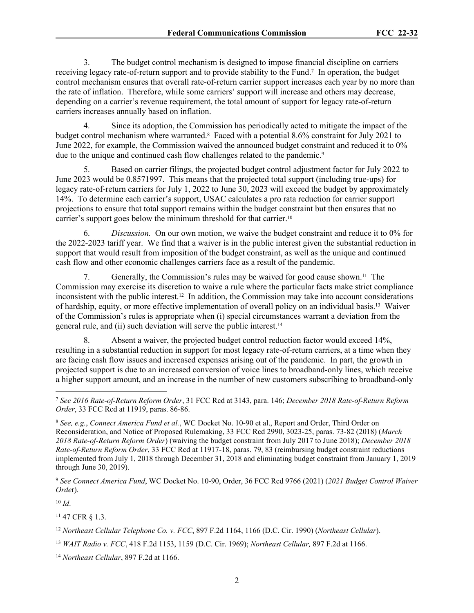3. The budget control mechanism is designed to impose financial discipline on carriers receiving legacy rate-of-return support and to provide stability to the Fund.<sup>7</sup> In operation, the budget control mechanism ensures that overall rate-of-return carrier support increases each year by no more than the rate of inflation. Therefore, while some carriers' support will increase and others may decrease, depending on a carrier's revenue requirement, the total amount of support for legacy rate-of-return carriers increases annually based on inflation.

4. Since its adoption, the Commission has periodically acted to mitigate the impact of the budget control mechanism where warranted.<sup>8</sup> Faced with a potential 8.6% constraint for July 2021 to June 2022, for example, the Commission waived the announced budget constraint and reduced it to 0% due to the unique and continued cash flow challenges related to the pandemic.<sup>9</sup>

5. Based on carrier filings, the projected budget control adjustment factor for July 2022 to June 2023 would be 0.8571997. This means that the projected total support (including true-ups) for legacy rate-of-return carriers for July 1, 2022 to June 30, 2023 will exceed the budget by approximately 14%. To determine each carrier's support, USAC calculates a pro rata reduction for carrier support projections to ensure that total support remains within the budget constraint but then ensures that no carrier's support goes below the minimum threshold for that carrier.<sup>10</sup>

6. *Discussion.* On our own motion, we waive the budget constraint and reduce it to 0% for the 2022-2023 tariff year. We find that a waiver is in the public interest given the substantial reduction in support that would result from imposition of the budget constraint, as well as the unique and continued cash flow and other economic challenges carriers face as a result of the pandemic.

7. Generally, the Commission's rules may be waived for good cause shown.11 The Commission may exercise its discretion to waive a rule where the particular facts make strict compliance inconsistent with the public interest.12 In addition, the Commission may take into account considerations of hardship, equity, or more effective implementation of overall policy on an individual basis.13 Waiver of the Commission's rules is appropriate when (i) special circumstances warrant a deviation from the general rule, and (ii) such deviation will serve the public interest.<sup>14</sup>

8. Absent a waiver, the projected budget control reduction factor would exceed 14%, resulting in a substantial reduction in support for most legacy rate-of-return carriers, at a time when they are facing cash flow issues and increased expenses arising out of the pandemic. In part, the growth in projected support is due to an increased conversion of voice lines to broadband-only lines, which receive a higher support amount, and an increase in the number of new customers subscribing to broadband-only

<sup>9</sup> *See Connect America Fund*, WC Docket No. 10-90, Order, 36 FCC Rcd 9766 (2021) (*2021 Budget Control Waiver Orde*r).

 $10 \, Id.$ 

<sup>11</sup> 47 CFR § 1.3.

<sup>12</sup> *Northeast Cellular Telephone Co. v. FCC*, 897 F.2d 1164, 1166 (D.C. Cir. 1990) (*Northeast Cellular*).

<sup>13</sup> *WAIT Radio v. FCC*, 418 F.2d 1153, 1159 (D.C. Cir. 1969); *Northeast Cellular,* 897 F.2d at 1166.

<sup>14</sup> *Northeast Cellular*, 897 F.2d at 1166.

<sup>7</sup> *See 2016 Rate-of-Return Reform Order*, 31 FCC Rcd at 3143, para. 146; *December 2018 Rate-of-Return Reform Order*, 33 FCC Rcd at 11919, paras. 86-86.

<sup>8</sup> *See, e.g.*, *Connect America Fund et al.*, WC Docket No. 10-90 et al., Report and Order, Third Order on Reconsideration, and Notice of Proposed Rulemaking, 33 FCC Rcd 2990, 3023-25, paras. 73-82 (2018) (*March 2018 Rate-of-Return Reform Order*) (waiving the budget constraint from July 2017 to June 2018); *December 2018 Rate-of-Return Reform Order*, 33 FCC Rcd at 11917-18, paras. 79, 83 (reimbursing budget constraint reductions implemented from July 1, 2018 through December 31, 2018 and eliminating budget constraint from January 1, 2019 through June 30, 2019).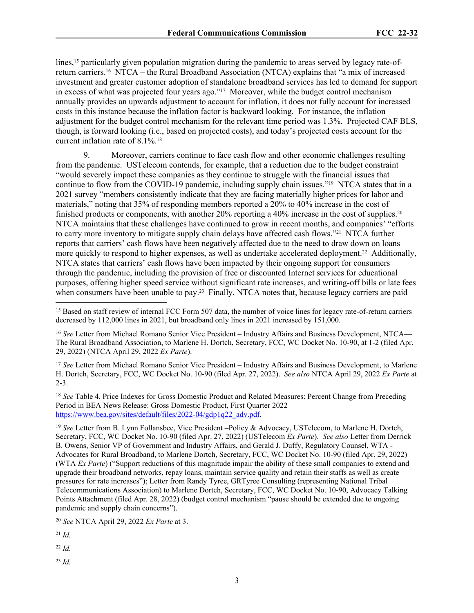lines,<sup>15</sup> particularly given population migration during the pandemic to areas served by legacy rate-ofreturn carriers.16 NTCA – the Rural Broadband Association (NTCA) explains that "a mix of increased investment and greater customer adoption of standalone broadband services has led to demand for support in excess of what was projected four years ago."17 Moreover, while the budget control mechanism annually provides an upwards adjustment to account for inflation, it does not fully account for increased costs in this instance because the inflation factor is backward looking. For instance, the inflation adjustment for the budget control mechanism for the relevant time period was 1.3%. Projected CAF BLS, though, is forward looking (i.e., based on projected costs), and today's projected costs account for the current inflation rate of 8.1%.<sup>18</sup>

9. Moreover, carriers continue to face cash flow and other economic challenges resulting from the pandemic. USTelecom contends, for example, that a reduction due to the budget constraint "would severely impact these companies as they continue to struggle with the financial issues that continue to flow from the COVID-19 pandemic, including supply chain issues."19 NTCA states that in a 2021 survey "members consistently indicate that they are facing materially higher prices for labor and materials," noting that 35% of responding members reported a 20% to 40% increase in the cost of finished products or components, with another 20% reporting a 40% increase in the cost of supplies.<sup>20</sup> NTCA maintains that these challenges have continued to grow in recent months, and companies' "efforts to carry more inventory to mitigate supply chain delays have affected cash flows."21 NTCA further reports that carriers' cash flows have been negatively affected due to the need to draw down on loans more quickly to respond to higher expenses, as well as undertake accelerated deployment.<sup>22</sup> Additionally, NTCA states that carriers' cash flows have been impacted by their ongoing support for consumers through the pandemic, including the provision of free or discounted Internet services for educational purposes, offering higher speed service without significant rate increases, and writing-off bills or late fees when consumers have been unable to pay.<sup>23</sup> Finally, NTCA notes that, because legacy carriers are paid

<sup>17</sup> *See* Letter from Michael Romano Senior Vice President – Industry Affairs and Business Development, to Marlene H. Dortch, Secretary, FCC, WC Docket No. 10-90 (filed Apr. 27, 2022). *See also* NTCA April 29, 2022 *Ex Parte* at 2-3.

<sup>18</sup> *See* Table 4. Price Indexes for Gross Domestic Product and Related Measures: Percent Change from Preceding Period in BEA News Release: Gross Domestic Product, First Quarter 2022 [https://www.bea.gov/sites/default/files/2022-04/gdp1q22\\_adv.pdf.](https://www.bea.gov/sites/default/files/2022-04/gdp1q22_adv.pdf)

<sup>20</sup> *See* NTCA April 29, 2022 *Ex Parte* at 3.

<sup>21</sup> *Id.*

<sup>22</sup> *Id.*

<sup>23</sup> *Id.*

<sup>&</sup>lt;sup>15</sup> Based on staff review of internal FCC Form 507 data, the number of voice lines for legacy rate-of-return carriers decreased by 112,000 lines in 2021, but broadband only lines in 2021 increased by 151,000.

<sup>16</sup> *See* Letter from Michael Romano Senior Vice President – Industry Affairs and Business Development, NTCA— The Rural Broadband Association, to Marlene H. Dortch, Secretary, FCC, WC Docket No. 10-90, at 1-2 (filed Apr. 29, 2022) (NTCA April 29, 2022 *Ex Parte*).

<sup>19</sup> *See* Letter from B. Lynn Follansbee, Vice President –Policy & Advocacy, USTelecom, to Marlene H. Dortch, Secretary, FCC, WC Docket No. 10-90 (filed Apr. 27, 2022) (USTelecom *Ex Parte*). *See also* Letter from Derrick B. Owens, Senior VP of Government and Industry Affairs, and Gerald J. Duffy, Regulatory Counsel, WTA - Advocates for Rural Broadband, to Marlene Dortch, Secretary, FCC, WC Docket No. 10-90 (filed Apr. 29, 2022) (WTA *Ex Parte*) ("Support reductions of this magnitude impair the ability of these small companies to extend and upgrade their broadband networks, repay loans, maintain service quality and retain their staffs as well as create pressures for rate increases"); Letter from Randy Tyree, GRTyree Consulting (representing National Tribal Telecommunications Association) to Marlene Dortch, Secretary, FCC, WC Docket No. 10-90, Advocacy Talking Points Attachment (filed Apr. 28, 2022) (budget control mechanism "pause should be extended due to ongoing pandemic and supply chain concerns").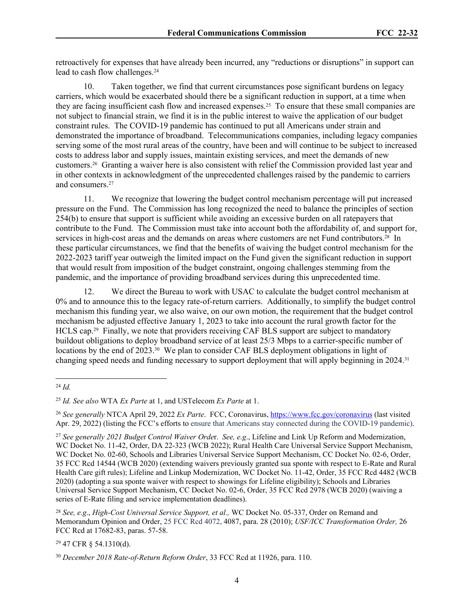retroactively for expenses that have already been incurred, any "reductions or disruptions" in support can lead to cash flow challenges.<sup>24</sup>

10. Taken together, we find that current circumstances pose significant burdens on legacy carriers, which would be exacerbated should there be a significant reduction in support, at a time when they are facing insufficient cash flow and increased expenses.<sup>25</sup> To ensure that these small companies are not subject to financial strain, we find it is in the public interest to waive the application of our budget constraint rules. The COVID-19 pandemic has continued to put all Americans under strain and demonstrated the importance of broadband. Telecommunications companies, including legacy companies serving some of the most rural areas of the country, have been and will continue to be subject to increased costs to address labor and supply issues, maintain existing services, and meet the demands of new customers.26 Granting a waiver here is also consistent with relief the Commission provided last year and in other contexts in acknowledgment of the unprecedented challenges raised by the pandemic to carriers and consumers.<sup>27</sup>

11. We recognize that lowering the budget control mechanism percentage will put increased pressure on the Fund. The Commission has long recognized the need to balance the principles of section 254(b) to ensure that support is sufficient while avoiding an excessive burden on all ratepayers that contribute to the Fund. The Commission must take into account both the affordability of, and support for, services in high-cost areas and the demands on areas where customers are net Fund contributors.<sup>28</sup> In these particular circumstances, we find that the benefits of waiving the budget control mechanism for the 2022-2023 tariff year outweigh the limited impact on the Fund given the significant reduction in support that would result from imposition of the budget constraint, ongoing challenges stemming from the pandemic, and the importance of providing broadband services during this unprecedented time.

12. We direct the Bureau to work with USAC to calculate the budget control mechanism at 0% and to announce this to the legacy rate-of-return carriers. Additionally, to simplify the budget control mechanism this funding year, we also waive, on our own motion, the requirement that the budget control mechanism be adjusted effective January 1, 2023 to take into account the rural growth factor for the HCLS cap.29 Finally, we note that providers receiving CAF BLS support are subject to mandatory buildout obligations to deploy broadband service of at least 25/3 Mbps to a carrier-specific number of locations by the end of 2023.<sup>30</sup> We plan to consider CAF BLS deployment obligations in light of changing speed needs and funding necessary to support deployment that will apply beginning in 2024.<sup>31</sup>

<sup>29</sup> 47 CFR § 54.1310(d).

<sup>24</sup> *Id.*

<sup>25</sup> *Id. See also* WTA *Ex Parte* at 1, and USTelecom *Ex Parte* at 1.

<sup>26</sup> *See generally* NTCA April 29, 2022 *Ex Parte*. FCC, Coronavirus, <https://www.fcc.gov/coronavirus> (last visited Apr. 29, 2022) (listing the FCC's efforts to ensure that Americans stay connected during the COVID-19 pandemic).

<sup>27</sup> *See generally 2021 Budget Control Waiver Orde*r. *See, e.g*., Lifeline and Link Up Reform and Modernization, WC Docket No. 11-42, Order, DA 22-323 (WCB 2022); Rural Health Care Universal Service Support Mechanism, WC Docket No. 02-60, Schools and Libraries Universal Service Support Mechanism, CC Docket No. 02-6, Order, 35 FCC Rcd 14544 (WCB 2020) (extending waivers previously granted sua sponte with respect to E-Rate and Rural Health Care gift rules); Lifeline and Linkup Modernization, WC Docket No. 11-42, Order, 35 FCC Rcd 4482 (WCB 2020) (adopting a sua sponte waiver with respect to showings for Lifeline eligibility); Schools and Libraries Universal Service Support Mechanism, CC Docket No. 02-6, Order, 35 FCC Rcd 2978 (WCB 2020) (waiving a series of E-Rate filing and service implementation deadlines).

<sup>28</sup> *See, e.g*., *High-Cost Universal Service Support, et al.,* WC Docket No. 05-337, Order on Remand and Memorandum Opinion and Order, 25 FCC Rcd 4072, 4087, para. 28 (2010); *USF/ICC Transformation Order,* 26 FCC Rcd at 17682-83, paras. 57-58.

<sup>30</sup> *December 2018 Rate-of-Return Reform Order*, 33 FCC Rcd at 11926, para. 110.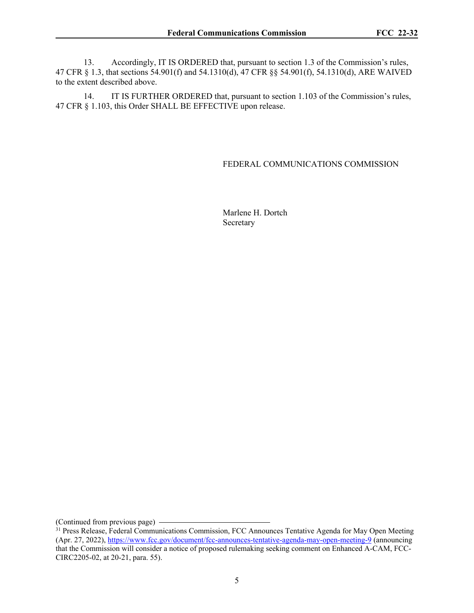13. Accordingly, IT IS ORDERED that, pursuant to section 1.3 of the Commission's rules, 47 CFR § 1.3, that sections 54.901(f) and 54.1310(d), 47 CFR §§ 54.901(f), 54.1310(d), ARE WAIVED to the extent described above.

14. IT IS FURTHER ORDERED that, pursuant to section 1.103 of the Commission's rules, 47 CFR § 1.103, this Order SHALL BE EFFECTIVE upon release.

## FEDERAL COMMUNICATIONS COMMISSION

Marlene H. Dortch Secretary

(Continued from previous page)

<sup>&</sup>lt;sup>31</sup> Press Release, Federal Communications Commission, FCC Announces Tentative Agenda for May Open Meeting (Apr. 27, 2022),<https://www.fcc.gov/document/fcc-announces-tentative-agenda-may-open-meeting-9> (announcing that the Commission will consider a notice of proposed rulemaking seeking comment on Enhanced A-CAM, FCC-CIRC2205-02, at 20-21, para. 55).